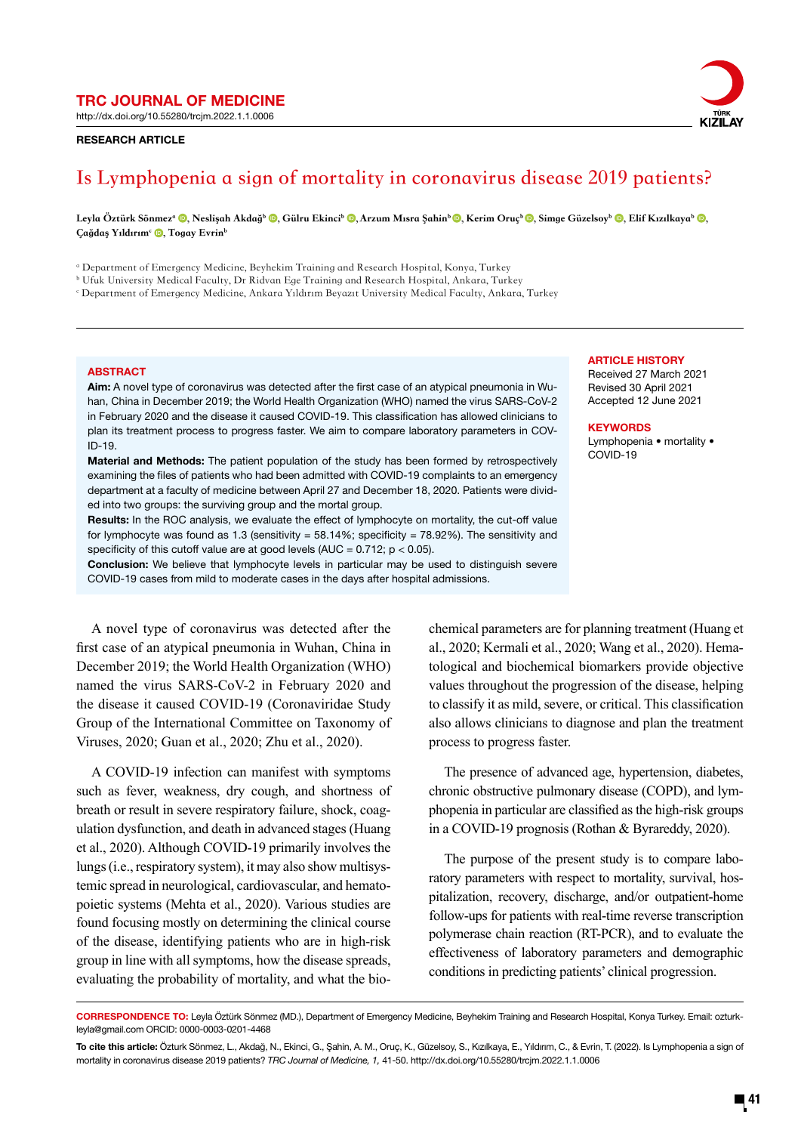http://dx.doi.org/10.55280/trcjm.2022.1.1.0006

### RESEARCH ARTICLE



# **Is Lymphopenia a sign of mortality in coronavirus disease 2019 patients?**

Leyla Öztürk Sönmez<sup>a</sup> (**D**, Neslişah Akdağ<sup>b</sup> (**D**, Gülru Ekinci<sup>b</sup> (**D**, Arzum Mısra Şahin<sup>b</sup> (**D**, Kerim Oruç<sup>b</sup> (**D**, Simge Güzelsoy<sup>b</sup> (**D, Elif Kızılkaya**b (**D**, Çağdaş Yıldırım<sup>c</sup> D, Togay Evrin<sup>b</sup>

a Department of Emergency Medicine, Beyhekim Training and Research Hospital, Konya, Turkey

- $^{\rm b}$  Ufuk University Medical Faculty, Dr Ridvan Ege Training and Research Hospital, Ankara, Turkey
- c Department of Emergency Medicine, Ankara Yıldırım Beyazıt University Medical Faculty, Ankara, Turkey

#### **ABSTRACT**

Aim: A novel type of coronavirus was detected after the first case of an atypical pneumonia in Wuhan, China in December 2019; the World Health Organization (WHO) named the virus SARS-CoV-2 in February 2020 and the disease it caused COVID-19. This classification has allowed clinicians to plan its treatment process to progress faster. We aim to compare laboratory parameters in COV-ID-19.

Material and Methods: The patient population of the study has been formed by retrospectively examining the files of patients who had been admitted with COVID-19 complaints to an emergency department at a faculty of medicine between April 27 and December 18, 2020. Patients were divided into two groups: the surviving group and the mortal group.

Results: In the ROC analysis, we evaluate the effect of lymphocyte on mortality, the cut-off value for lymphocyte was found as 1.3 (sensitivity =  $58.14\%$ ; specificity =  $78.92\%$ ). The sensitivity and specificity of this cutoff value are at good levels (AUC =  $0.712$ ;  $p < 0.05$ ).

Conclusion: We believe that lymphocyte levels in particular may be used to distinguish severe COVID-19 cases from mild to moderate cases in the days after hospital admissions.

A novel type of coronavirus was detected after the first case of an atypical pneumonia in Wuhan, China in December 2019; the World Health Organization (WHO) named the virus SARS-CoV-2 in February 2020 and the disease it caused COVID-19 (Coronaviridae Study Group of the International Committee on Taxonomy of Viruses, 2020; Guan et al., 2020; Zhu et al., 2020).

A COVID-19 infection can manifest with symptoms such as fever, weakness, dry cough, and shortness of breath or result in severe respiratory failure, shock, coagulation dysfunction, and death in advanced stages (Huang et al., 2020). Although COVID-19 primarily involves the lungs (i.e., respiratory system), it may also show multisystemic spread in neurological, cardiovascular, and hematopoietic systems (Mehta et al., 2020). Various studies are found focusing mostly on determining the clinical course of the disease, identifying patients who are in high-risk group in line with all symptoms, how the disease spreads, evaluating the probability of mortality, and what the bio-

### **ARTICLE HISTORY**

Received 27 March 2021 Revised 30 April 2021 Accepted 12 June 2021

**KEYWORDS** Lymphopenia • mortality •

COVID-19

chemical parameters are for planning treatment (Huang et al., 2020; Kermali et al., 2020; Wang et al., 2020). Hematological and biochemical biomarkers provide objective values throughout the progression of the disease, helping to classify it as mild, severe, or critical. This classification also allows clinicians to diagnose and plan the treatment process to progress faster.

The presence of advanced age, hypertension, diabetes, chronic obstructive pulmonary disease (COPD), and lymphopenia in particular are classified as the high-risk groups in a COVID-19 prognosis (Rothan & Byrareddy, 2020).

The purpose of the present study is to compare laboratory parameters with respect to mortality, survival, hospitalization, recovery, discharge, and/or outpatient-home follow-ups for patients with real-time reverse transcription polymerase chain reaction (RT-PCR), and to evaluate the effectiveness of laboratory parameters and demographic conditions in predicting patients' clinical progression.

CORRESPONDENCE TO: Leyla Öztürk Sönmez (MD.), Department of Emergency Medicine, Beyhekim Training and Research Hospital, Konya Turkey. Email: ozturkleyla@gmail.com ORCID: 0000-0003-0201-4468

To cite this article: Özturk Sönmez, L., Akdağ, N., Ekinci, G., Şahin, A. M., Oruç, K., Güzelsoy, S., Kızılkaya, E., Yıldırım, C., & Evrin, T. (2022). Is Lymphopenia a sign of mortality in coronavirus disease 2019 patients? *TRC Journal of Medicine, 1,* 41-50. http://dx.doi.org/10.55280/trcjm.2022.1.1.0006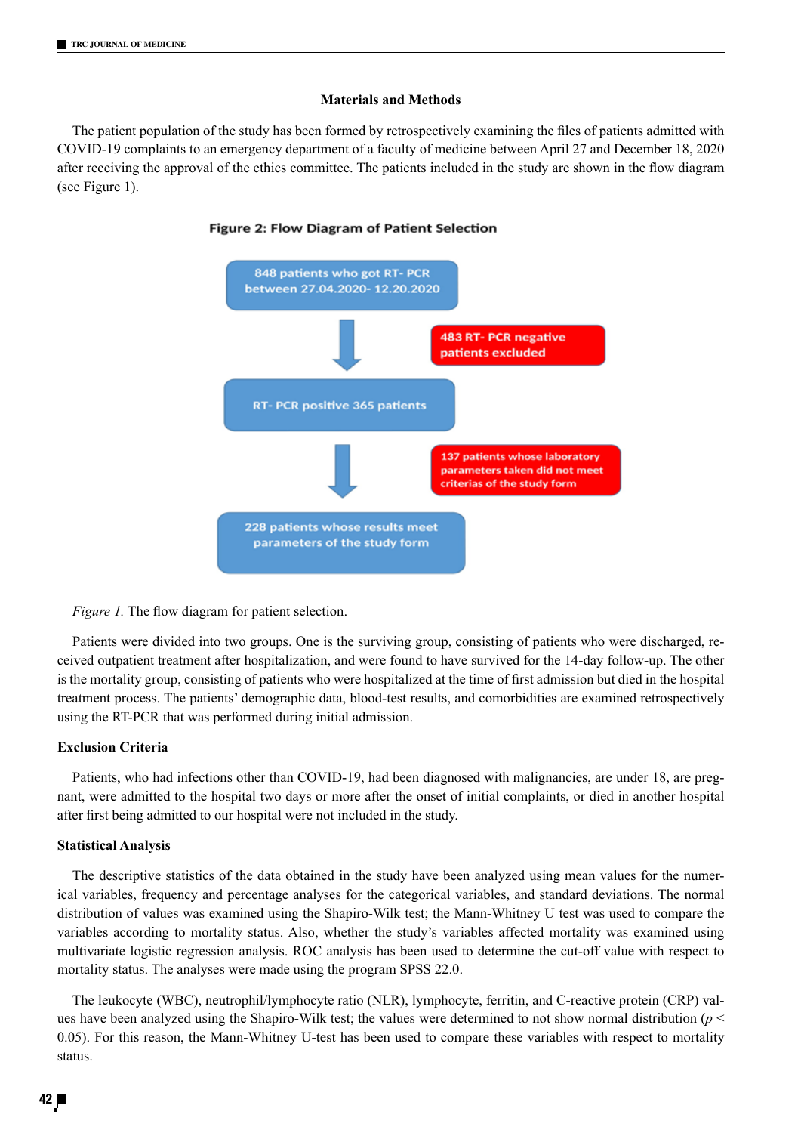# **Materials and Methods**

The patient population of the study has been formed by retrospectively examining the files of patients admitted with COVID-19 complaints to an emergency department of a faculty of medicine between April 27 and December 18, 2020 after receiving the approval of the ethics committee. The patients included in the study are shown in the flow diagram (see Figure 1).



### Figure 2: Flow Diagram of Patient Selection

*Figure 1.* The flow diagram for patient selection.

Patients were divided into two groups. One is the surviving group, consisting of patients who were discharged, received outpatient treatment after hospitalization, and were found to have survived for the 14-day follow-up. The other is the mortality group, consisting of patients who were hospitalized at the time of first admission but died in the hospital treatment process. The patients' demographic data, blood-test results, and comorbidities are examined retrospectively using the RT-PCR that was performed during initial admission.

# **Exclusion Criteria**

Patients, who had infections other than COVID-19, had been diagnosed with malignancies, are under 18, are pregnant, were admitted to the hospital two days or more after the onset of initial complaints, or died in another hospital after first being admitted to our hospital were not included in the study.

### **Statistical Analysis**

The descriptive statistics of the data obtained in the study have been analyzed using mean values for the numerical variables, frequency and percentage analyses for the categorical variables, and standard deviations. The normal distribution of values was examined using the Shapiro-Wilk test; the Mann-Whitney U test was used to compare the variables according to mortality status. Also, whether the study's variables affected mortality was examined using multivariate logistic regression analysis. ROC analysis has been used to determine the cut-off value with respect to mortality status. The analyses were made using the program SPSS 22.0.

The leukocyte (WBC), neutrophil/lymphocyte ratio (NLR), lymphocyte, ferritin, and C-reactive protein (CRP) values have been analyzed using the Shapiro-Wilk test; the values were determined to not show normal distribution (*p* < 0.05). For this reason, the Mann-Whitney U-test has been used to compare these variables with respect to mortality status.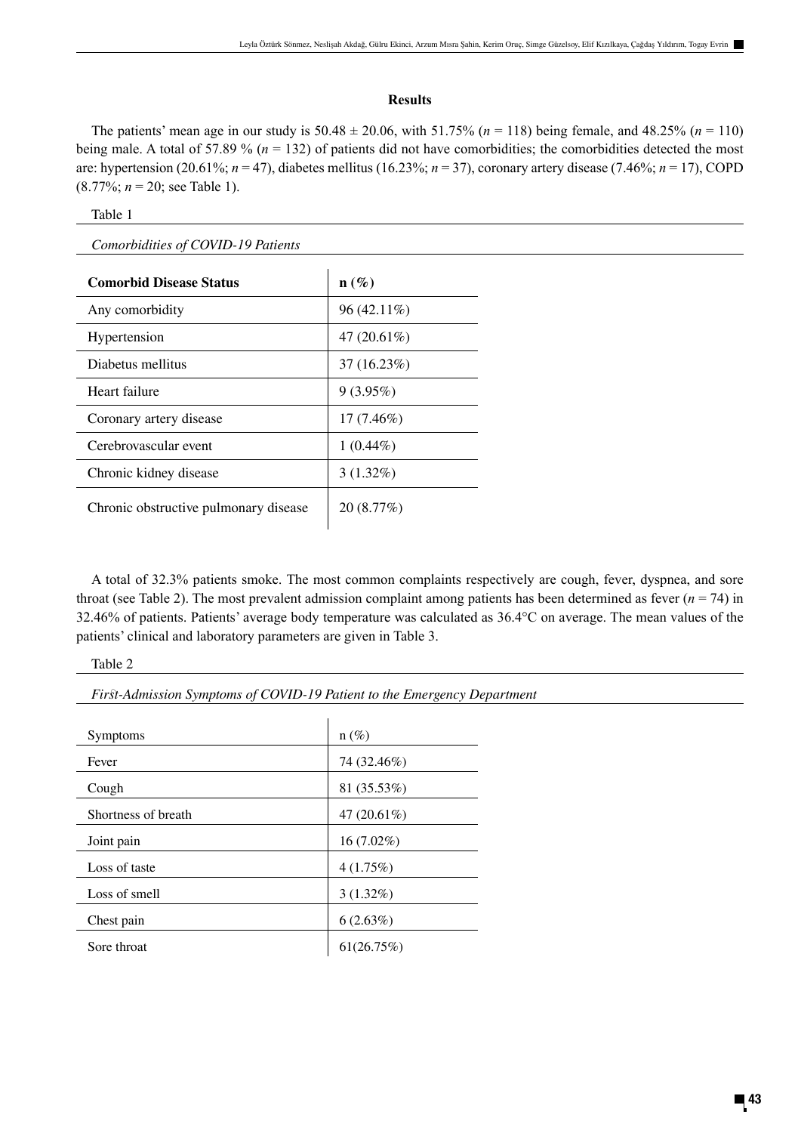# **Results**

The patients' mean age in our study is  $50.48 \pm 20.06$ , with  $51.75\%$  ( $n = 118$ ) being female, and  $48.25\%$  ( $n = 110$ ) being male. A total of 57.89 % ( $n = 132$ ) of patients did not have comorbidities; the comorbidities detected the most are: hypertension (20.61%; *n* = 47), diabetes mellitus (16.23%; *n* = 37), coronary artery disease (7.46%; *n* = 17), COPD (8.77%; *n* = 20; see Table 1).

| ×<br>× |  |
|--------|--|
|--------|--|

*Comorbidities of COVID-19 Patients*

| <b>Comorbid Disease Status</b>        | $\mathbf{n}(\%)$ |
|---------------------------------------|------------------|
| Any comorbidity                       | $96(42.11\%)$    |
| Hypertension                          | 47 $(20.61\%)$   |
| Diabetus mellitus                     | 37(16.23%)       |
| Heart failure                         | 9(3.95%)         |
| Coronary artery disease               | $17(7.46\%)$     |
| Cerebrovascular event                 | $1(0.44\%)$      |
| Chronic kidney disease                | $3(1.32\%)$      |
| Chronic obstructive pulmonary disease | 20(8.77%)        |

A total of 32.3% patients smoke. The most common complaints respectively are cough, fever, dyspnea, and sore throat (see Table 2). The most prevalent admission complaint among patients has been determined as fever  $(n = 74)$  in 32.46% of patients. Patients' average body temperature was calculated as 36.4°C on average. The mean values of the patients' clinical and laboratory parameters are given in Table 3.

*First-Admission Symptoms of COVID-19 Patient to the Emergency Department* 

| <b>Symptoms</b>     | $n(\%)$        |
|---------------------|----------------|
| Fever               | 74 (32.46%)    |
| Cough               | 81 (35.53%)    |
| Shortness of breath | 47 $(20.61\%)$ |
| Joint pain          | $16(7.02\%)$   |
| Loss of taste       | 4(1.75%)       |
| Loss of smell       | $3(1.32\%)$    |
| Chest pain          | 6(2.63%)       |
| Sore throat         | 61(26.75%)     |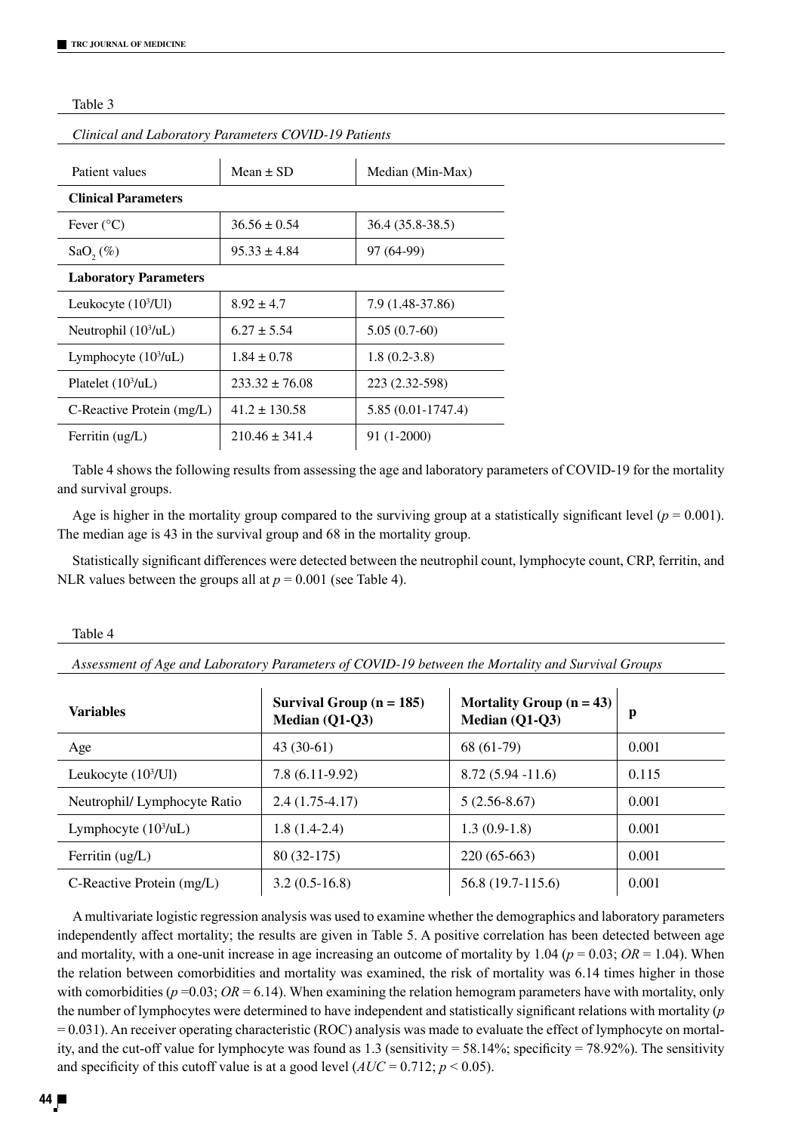### Table 3

| Cunical and Laboratory Farameters COVID-19 Fattents |                    |                     |  |
|-----------------------------------------------------|--------------------|---------------------|--|
| Patient values                                      | Mean $\pm$ SD      | Median (Min-Max)    |  |
|                                                     |                    |                     |  |
| <b>Clinical Parameters</b>                          |                    |                     |  |
| Fever $(^{\circ}C)$                                 | $36.56 \pm 0.54$   | $36.4(35.8-38.5)$   |  |
| $SaO, (\%)$                                         | $95.33 \pm 4.84$   | 97 (64-99)          |  |
| <b>Laboratory Parameters</b>                        |                    |                     |  |
| Leukocyte $(103/Ul)$                                | $8.92 \pm 4.7$     | 7.9 (1.48-37.86)    |  |
| Neutrophil $(103/uL)$                               | $6.27 \pm 5.54$    | $5.05(0.7-60)$      |  |
| Lymphocyte $(103/uL)$                               | $1.84 \pm 0.78$    | $1.8(0.2-3.8)$      |  |
| Platelet $(103/uL)$                                 | $233.32 \pm 76.08$ | 223 (2.32-598)      |  |
| C-Reactive Protein (mg/L)                           | $41.2 \pm 130.58$  | $5.85(0.01-1747.4)$ |  |
| Ferritin $\text{(ug/L)}$                            | $210.46 \pm 341.4$ | 91 (1-2000)         |  |

*Clinical and Laboratory Parameters COVID-19 Patients*

Table 4 shows the following results from assessing the age and laboratory parameters of COVID-19 for the mortality and survival groups.

Age is higher in the mortality group compared to the surviving group at a statistically significant level ( $p = 0.001$ ). The median age is 43 in the survival group and 68 in the mortality group.

Statistically significant differences were detected between the neutrophil count, lymphocyte count, CRP, ferritin, and NLR values between the groups all at  $p = 0.001$  (see Table 4).

### Table 4

*Assessment of Age and Laboratory Parameters of COVID-19 between the Mortality and Survival Groups*

| <b>Variables</b>             | Survival Group $(n = 185)$<br>Median (Q1-Q3) | Mortality Group $(n = 43)$<br>Median (Q1-Q3) | p     |
|------------------------------|----------------------------------------------|----------------------------------------------|-------|
| Age                          | $43(30-61)$                                  | 68 (61-79)                                   | 0.001 |
| Leukocyte $(103/Ul)$         | $7.8(6.11-9.92)$                             | $8.72(5.94 - 11.6)$                          | 0.115 |
| Neutrophil/ Lymphocyte Ratio | $2.4(1.75-4.17)$                             | $5(2.56-8.67)$                               | 0.001 |
| Lymphocyte $(103/uL)$        | $1.8(1.4-2.4)$                               | $1.3(0.9-1.8)$                               | 0.001 |
| Ferritin $(ug/L)$            | $80(32-175)$                                 | $220(65-663)$                                | 0.001 |
| C-Reactive Protein (mg/L)    | $3.2(0.5-16.8)$                              | 56.8 (19.7-115.6)                            | 0.001 |

A multivariate logistic regression analysis was used to examine whether the demographics and laboratory parameters independently affect mortality; the results are given in Table 5. A positive correlation has been detected between age and mortality, with a one-unit increase in age increasing an outcome of mortality by  $1.04$  ( $p = 0.03$ ;  $OR = 1.04$ ). When the relation between comorbidities and mortality was examined, the risk of mortality was 6.14 times higher in those with comorbidities ( $p = 0.03$ ;  $OR = 6.14$ ). When examining the relation hemogram parameters have with mortality, only the number of lymphocytes were determined to have independent and statistically significant relations with mortality (*p*  $= 0.031$ ). An receiver operating characteristic (ROC) analysis was made to evaluate the effect of lymphocyte on mortality, and the cut-off value for lymphocyte was found as 1.3 (sensitivity = 58.14%; specificity = 78.92%). The sensitivity and specificity of this cutoff value is at a good level  $(AUC = 0.712; p < 0.05)$ .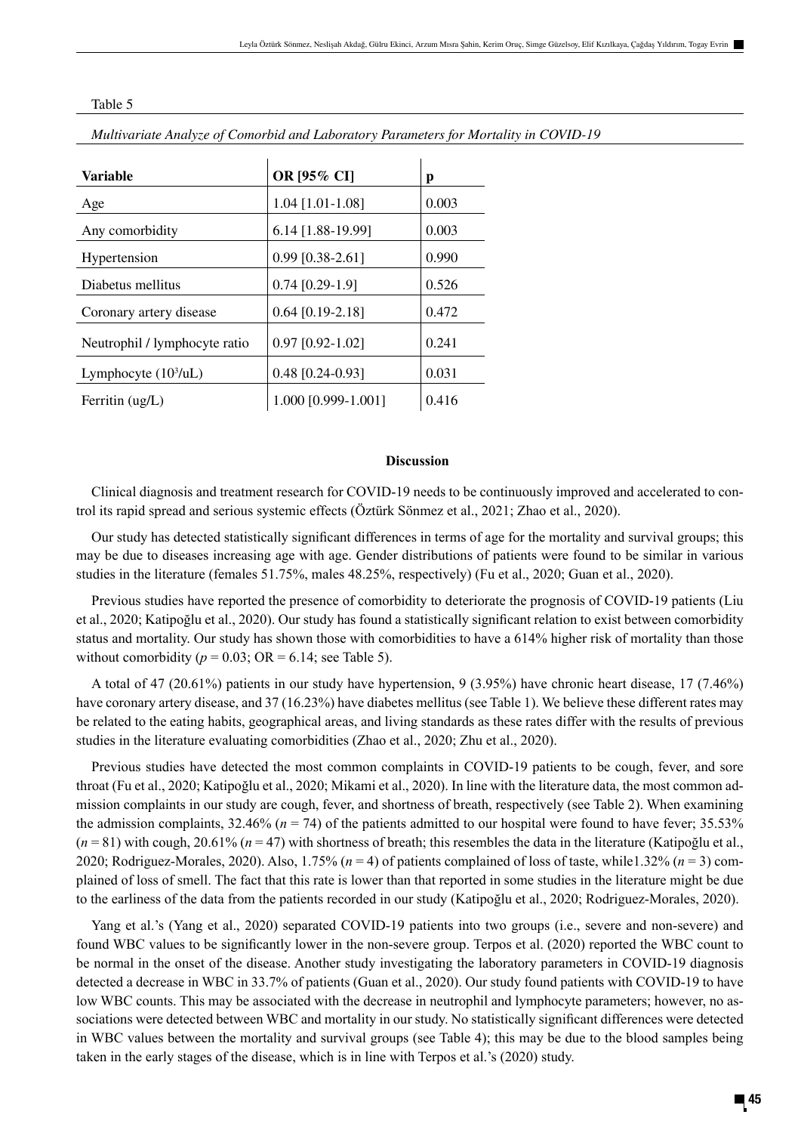| <b>Variable</b>               | OR [95% CI]         | р     |
|-------------------------------|---------------------|-------|
| Age                           | $1.04$ [1.01-1.08]  | 0.003 |
| Any comorbidity               | $6.14$ [1.88-19.99] | 0.003 |
| Hypertension                  | $0.99$ [0.38-2.61]  | 0.990 |
| Diabetus mellitus             | $0.74$ [0.29-1.9]   | 0.526 |
| Coronary artery disease       | $0.64$ [0.19-2.18]  | 0.472 |
| Neutrophil / lymphocyte ratio | $0.97$ [0.92-1.02]  | 0.241 |
| Lymphocyte $(103/uL)$         | $0.48$ [0.24-0.93]  | 0.031 |
| Ferritin $\text{(ug/L)}$      | 1.000 [0.999-1.001] | 0.416 |

Table 5

*Multivariate Analyze of Comorbid and Laboratory Parameters for Mortality in COVID-19*

# **Discussion**

Clinical diagnosis and treatment research for COVID-19 needs to be continuously improved and accelerated to control its rapid spread and serious systemic effects (Öztürk Sönmez et al., 2021; Zhao et al., 2020).

Our study has detected statistically significant differences in terms of age for the mortality and survival groups; this may be due to diseases increasing age with age. Gender distributions of patients were found to be similar in various studies in the literature (females 51.75%, males 48.25%, respectively) (Fu et al., 2020; Guan et al., 2020).

Previous studies have reported the presence of comorbidity to deteriorate the prognosis of COVID-19 patients (Liu et al., 2020; Katipoğlu et al., 2020). Our study has found a statistically significant relation to exist between comorbidity status and mortality. Our study has shown those with comorbidities to have a 614% higher risk of mortality than those without comorbidity ( $p = 0.03$ ; OR = 6.14; see Table 5).

A total of 47 (20.61%) patients in our study have hypertension, 9 (3.95%) have chronic heart disease, 17 (7.46%) have coronary artery disease, and 37 (16.23%) have diabetes mellitus (see Table 1). We believe these different rates may be related to the eating habits, geographical areas, and living standards as these rates differ with the results of previous studies in the literature evaluating comorbidities (Zhao et al., 2020; Zhu et al., 2020).

Previous studies have detected the most common complaints in COVID-19 patients to be cough, fever, and sore throat (Fu et al., 2020; Katipoğlu et al., 2020; Mikami et al., 2020). In line with the literature data, the most common admission complaints in our study are cough, fever, and shortness of breath, respectively (see Table 2). When examining the admission complaints,  $32.46\%$  ( $n = 74$ ) of the patients admitted to our hospital were found to have fever;  $35.53\%$ (*n* = 81) with cough, 20.61% (*n* = 47) with shortness of breath; this resembles the data in the literature (Katipoğlu et al., 2020; Rodriguez-Morales, 2020). Also, 1.75% (*n* = 4) of patients complained of loss of taste, while1.32% (*n* = 3) complained of loss of smell. The fact that this rate is lower than that reported in some studies in the literature might be due to the earliness of the data from the patients recorded in our study (Katipoğlu et al., 2020; Rodriguez-Morales, 2020).

Yang et al.'s (Yang et al., 2020) separated COVID-19 patients into two groups (i.e., severe and non-severe) and found WBC values to be significantly lower in the non-severe group. Terpos et al. (2020) reported the WBC count to be normal in the onset of the disease. Another study investigating the laboratory parameters in COVID-19 diagnosis detected a decrease in WBC in 33.7% of patients (Guan et al., 2020). Our study found patients with COVID-19 to have low WBC counts. This may be associated with the decrease in neutrophil and lymphocyte parameters; however, no associations were detected between WBC and mortality in our study. No statistically significant differences were detected in WBC values between the mortality and survival groups (see Table 4); this may be due to the blood samples being taken in the early stages of the disease, which is in line with Terpos et al.'s (2020) study.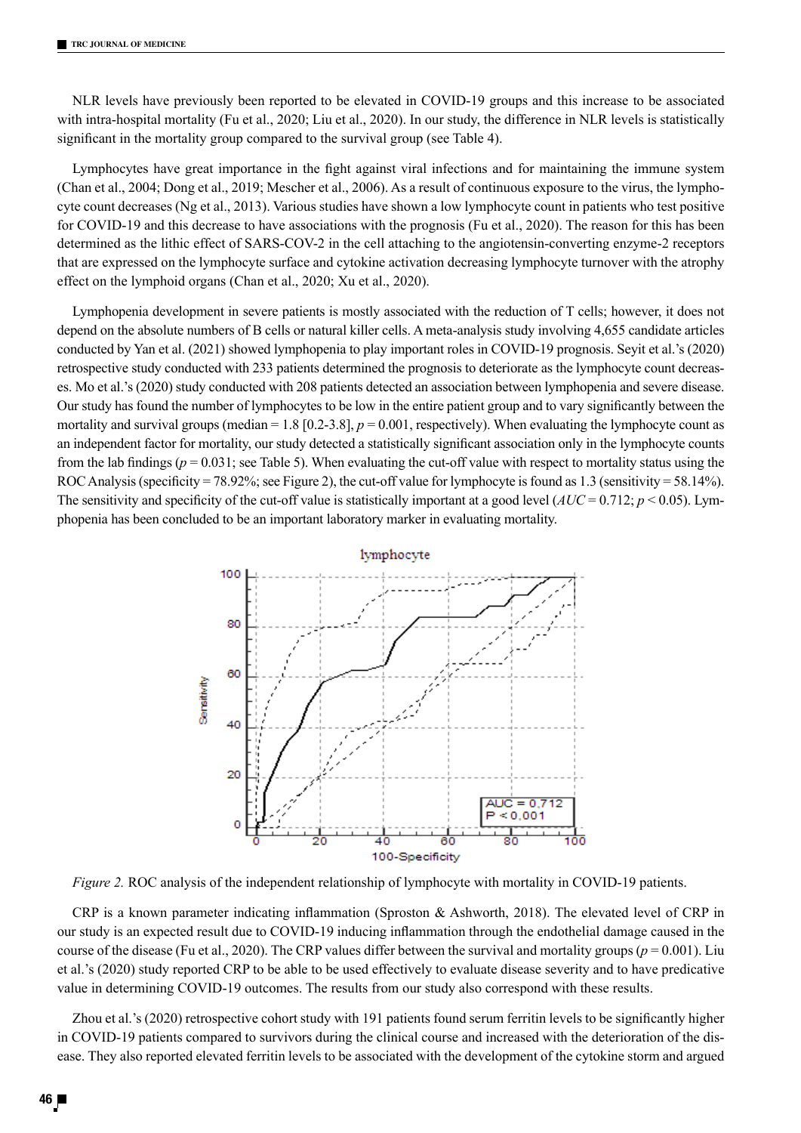NLR levels have previously been reported to be elevated in COVID-19 groups and this increase to be associated with intra-hospital mortality (Fu et al., 2020; Liu et al., 2020). In our study, the difference in NLR levels is statistically significant in the mortality group compared to the survival group (see Table 4).

Lymphocytes have great importance in the fight against viral infections and for maintaining the immune system (Chan et al., 2004; Dong et al., 2019; Mescher et al., 2006). As a result of continuous exposure to the virus, the lymphocyte count decreases (Ng et al., 2013). Various studies have shown a low lymphocyte count in patients who test positive for COVID-19 and this decrease to have associations with the prognosis (Fu et al., 2020). The reason for this has been determined as the lithic effect of SARS-COV-2 in the cell attaching to the angiotensin-converting enzyme-2 receptors that are expressed on the lymphocyte surface and cytokine activation decreasing lymphocyte turnover with the atrophy effect on the lymphoid organs (Chan et al., 2020; Xu et al., 2020).

Lymphopenia development in severe patients is mostly associated with the reduction of T cells; however, it does not depend on the absolute numbers of B cells or natural killer cells. A meta-analysis study involving 4,655 candidate articles conducted by Yan et al. (2021) showed lymphopenia to play important roles in COVID-19 prognosis. Seyit et al.'s (2020) retrospective study conducted with 233 patients determined the prognosis to deteriorate as the lymphocyte count decreases. Mo et al.'s (2020) study conducted with 208 patients detected an association between lymphopenia and severe disease. Our study has found the number of lymphocytes to be low in the entire patient group and to vary significantly between the mortality and survival groups (median = 1.8 [0.2-3.8],  $p = 0.001$ , respectively). When evaluating the lymphocyte count as an independent factor for mortality, our study detected a statistically significant association only in the lymphocyte counts from the lab findings ( $p = 0.031$ ; see Table 5). When evaluating the cut-off value with respect to mortality status using the ROC Analysis (specificity = 78.92%; see Figure 2), the cut-off value for lymphocyte is found as 1.3 (sensitivity = 58.14%). The sensitivity and specificity of the cut-off value is statistically important at a good level  $(AUC = 0.712; p < 0.05)$ . Lymphopenia has been concluded to be an important laboratory marker in evaluating mortality.



*Figure 2.* ROC analysis of the independent relationship of lymphocyte with mortality in COVID-19 patients.

CRP is a known parameter indicating inflammation (Sproston & Ashworth, 2018). The elevated level of CRP in our study is an expected result due to COVID-19 inducing inflammation through the endothelial damage caused in the course of the disease (Fu et al., 2020). The CRP values differ between the survival and mortality groups ( $p = 0.001$ ). Liu et al.'s (2020) study reported CRP to be able to be used effectively to evaluate disease severity and to have predicative value in determining COVID-19 outcomes. The results from our study also correspond with these results.

Zhou et al.'s (2020) retrospective cohort study with 191 patients found serum ferritin levels to be significantly higher in COVID-19 patients compared to survivors during the clinical course and increased with the deterioration of the disease. They also reported elevated ferritin levels to be associated with the development of the cytokine storm and argued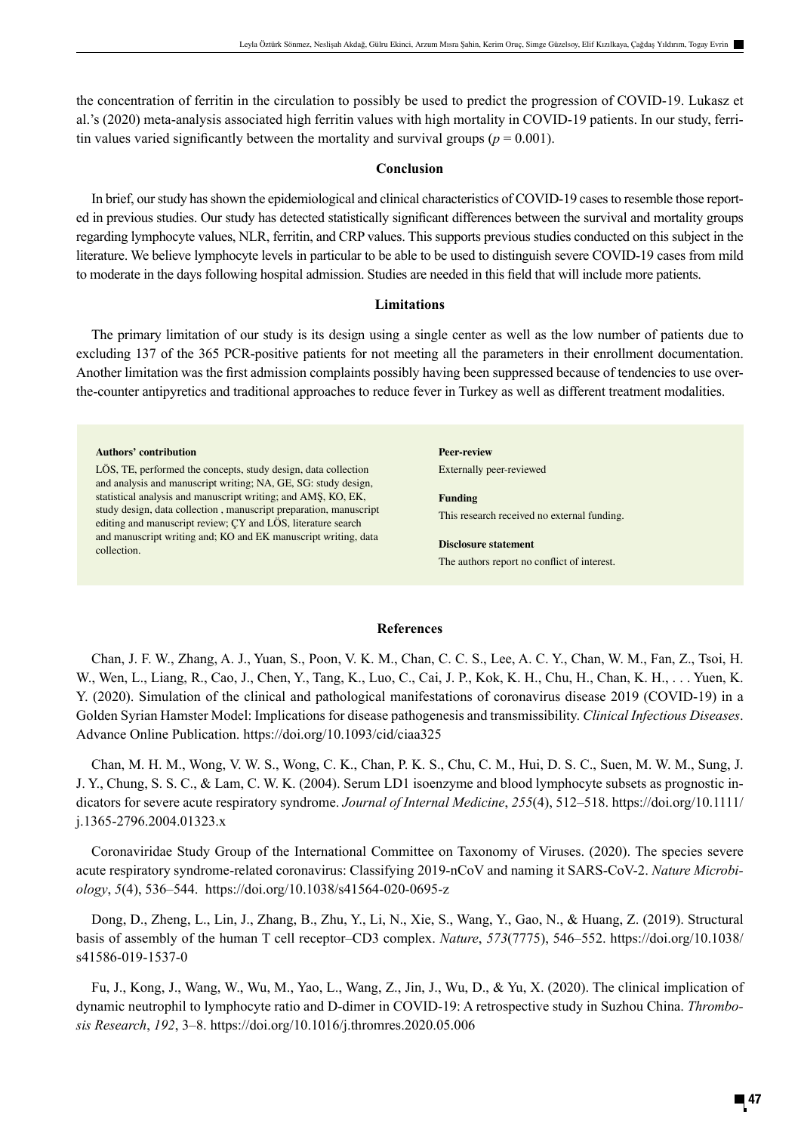the concentration of ferritin in the circulation to possibly be used to predict the progression of COVID-19. Lukasz et al.'s (2020) meta-analysis associated high ferritin values with high mortality in COVID-19 patients. In our study, ferritin values varied significantly between the mortality and survival groups ( $p = 0.001$ ).

# **Conclusion**

In brief, our study has shown the epidemiological and clinical characteristics of COVID-19 cases to resemble those reported in previous studies. Our study has detected statistically significant differences between the survival and mortality groups regarding lymphocyte values, NLR, ferritin, and CRP values. This supports previous studies conducted on this subject in the literature. We believe lymphocyte levels in particular to be able to be used to distinguish severe COVID-19 cases from mild to moderate in the days following hospital admission. Studies are needed in this field that will include more patients.

# **Limitations**

The primary limitation of our study is its design using a single center as well as the low number of patients due to excluding 137 of the 365 PCR-positive patients for not meeting all the parameters in their enrollment documentation. Another limitation was the first admission complaints possibly having been suppressed because of tendencies to use overthe-counter antipyretics and traditional approaches to reduce fever in Turkey as well as different treatment modalities.

**Authors' contribution**

LÖS, TE, performed the concepts, study design, data collection and analysis and manuscript writing; NA, GE, SG: study design, statistical analysis and manuscript writing; and AMŞ, KO, EK, study design, data collection , manuscript preparation, manuscript editing and manuscript review; ÇY and LÖS, literature search and manuscript writing and; KO and EK manuscript writing, data collection.

**Peer-review** Externally peer-reviewed

**Funding** This research received no external funding.

**Disclosure statement** The authors report no conflict of interest.

### **References**

Chan, J. F. W., Zhang, A. J., Yuan, S., Poon, V. K. M., Chan, C. C. S., Lee, A. C. Y., Chan, W. M., Fan, Z., Tsoi, H. W., Wen, L., Liang, R., Cao, J., Chen, Y., Tang, K., Luo, C., Cai, J. P., Kok, K. H., Chu, H., Chan, K. H., . . . Yuen, K. Y. (2020). Simulation of the clinical and pathological manifestations of coronavirus disease 2019 (COVID-19) in a Golden Syrian Hamster Model: Implications for disease pathogenesis and transmissibility. *Clinical Infectious Diseases*. Advance Online Publication. https://doi.org/10.1093/cid/ciaa325

Chan, M. H. M., Wong, V. W. S., Wong, C. K., Chan, P. K. S., Chu, C. M., Hui, D. S. C., Suen, M. W. M., Sung, J. J. Y., Chung, S. S. C., & Lam, C. W. K. (2004). Serum LD1 isoenzyme and blood lymphocyte subsets as prognostic indicators for severe acute respiratory syndrome. *Journal of Internal Medicine*, *255*(4), 512–518. https://doi.org/10.1111/ j.1365-2796.2004.01323.x

Coronaviridae Study Group of the International Committee on Taxonomy of Viruses. (2020). The species severe acute respiratory syndrome-related coronavirus: Classifying 2019-nCoV and naming it SARS-CoV-2. *Nature Microbiology*, *5*(4), 536–544. https://doi.org/10.1038/s41564-020-0695-z

Dong, D., Zheng, L., Lin, J., Zhang, B., Zhu, Y., Li, N., Xie, S., Wang, Y., Gao, N., & Huang, Z. (2019). Structural basis of assembly of the human T cell receptor–CD3 complex. *Nature*, *573*(7775), 546–552. https://doi.org/10.1038/ s41586-019-1537-0

Fu, J., Kong, J., Wang, W., Wu, M., Yao, L., Wang, Z., Jin, J., Wu, D., & Yu, X. (2020). The clinical implication of dynamic neutrophil to lymphocyte ratio and D-dimer in COVID-19: A retrospective study in Suzhou China. *Thrombosis Research*, *192*, 3–8. https://doi.org/10.1016/j.thromres.2020.05.006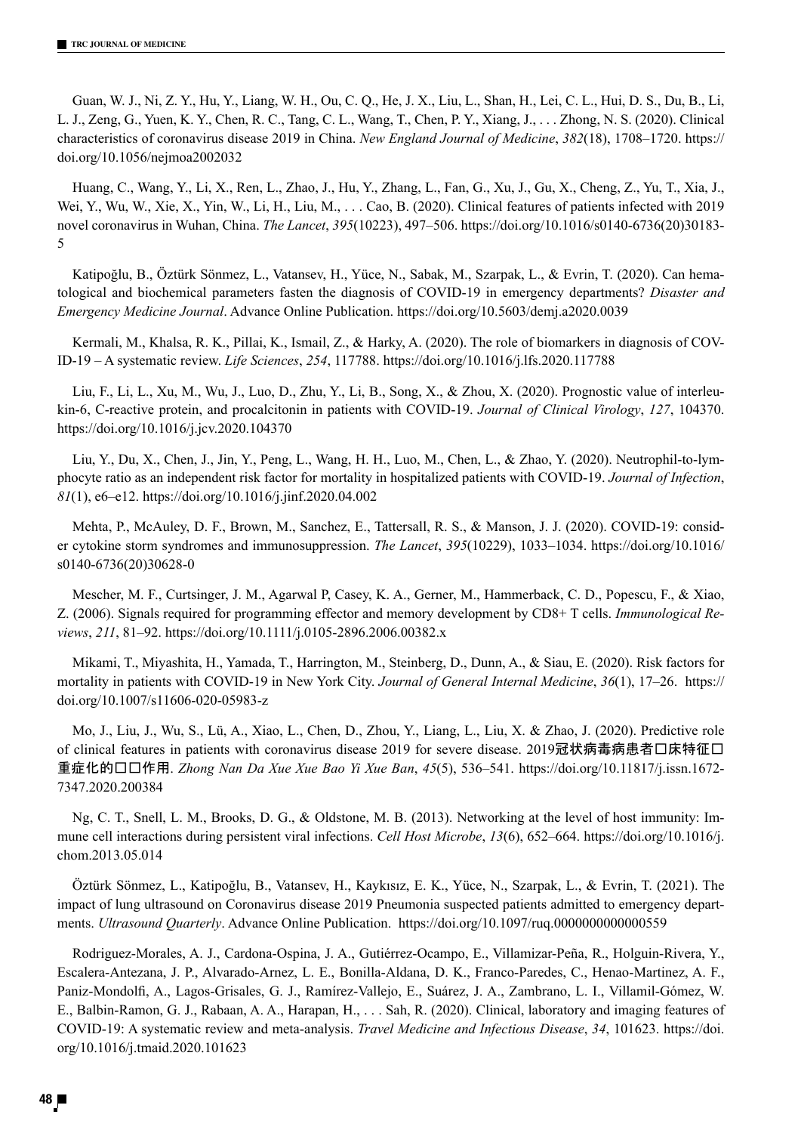Guan, W. J., Ni, Z. Y., Hu, Y., Liang, W. H., Ou, C. Q., He, J. X., Liu, L., Shan, H., Lei, C. L., Hui, D. S., Du, B., Li, L. J., Zeng, G., Yuen, K. Y., Chen, R. C., Tang, C. L., Wang, T., Chen, P. Y., Xiang, J., . . . Zhong, N. S. (2020). Clinical characteristics of coronavirus disease 2019 in China. *New England Journal of Medicine*, *382*(18), 1708–1720. https:// doi.org/10.1056/nejmoa2002032

Huang, C., Wang, Y., Li, X., Ren, L., Zhao, J., Hu, Y., Zhang, L., Fan, G., Xu, J., Gu, X., Cheng, Z., Yu, T., Xia, J., Wei, Y., Wu, W., Xie, X., Yin, W., Li, H., Liu, M., . . . Cao, B. (2020). Clinical features of patients infected with 2019 novel coronavirus in Wuhan, China. *The Lancet*, *395*(10223), 497–506. https://doi.org/10.1016/s0140-6736(20)30183- 5

Katipoğlu, B., Öztürk Sönmez, L., Vatansev, H., Yüce, N., Sabak, M., Szarpak, L., & Evrin, T. (2020). Can hematological and biochemical parameters fasten the diagnosis of COVID-19 in emergency departments? *Disaster and Emergency Medicine Journal*. Advance Online Publication. https://doi.org/10.5603/demj.a2020.0039

Kermali, M., Khalsa, R. K., Pillai, K., Ismail, Z., & Harky, A. (2020). The role of biomarkers in diagnosis of COV-ID-19 – A systematic review. *Life Sciences*, *254*, 117788. https://doi.org/10.1016/j.lfs.2020.117788

Liu, F., Li, L., Xu, M., Wu, J., Luo, D., Zhu, Y., Li, B., Song, X., & Zhou, X. (2020). Prognostic value of interleukin-6, C-reactive protein, and procalcitonin in patients with COVID-19. *Journal of Clinical Virology*, *127*, 104370. https://doi.org/10.1016/j.jcv.2020.104370

Liu, Y., Du, X., Chen, J., Jin, Y., Peng, L., Wang, H. H., Luo, M., Chen, L., & Zhao, Y. (2020). Neutrophil-to-lymphocyte ratio as an independent risk factor for mortality in hospitalized patients with COVID-19. *Journal of Infection*, *81*(1), e6–e12. https://doi.org/10.1016/j.jinf.2020.04.002

Mehta, P., McAuley, D. F., Brown, M., Sanchez, E., Tattersall, R. S., & Manson, J. J. (2020). COVID-19: consider cytokine storm syndromes and immunosuppression. *The Lancet*, *395*(10229), 1033–1034. https://doi.org/10.1016/ s0140-6736(20)30628-0

Mescher, M. F., Curtsinger, J. M., Agarwal P, Casey, K. A., Gerner, M., Hammerback, C. D., Popescu, F., & Xiao, Z. (2006). Signals required for programming effector and memory development by CD8+ T cells. *Immunological Reviews*, *211*, 81–92. https://doi.org/10.1111/j.0105-2896.2006.00382.x

Mikami, T., Miyashita, H., Yamada, T., Harrington, M., Steinberg, D., Dunn, A., & Siau, E. (2020). Risk factors for mortality in patients with COVID-19 in New York City. *Journal of General Internal Medicine*, *36*(1), 17–26. https:// doi.org/10.1007/s11606-020-05983-z

Mo, J., Liu, J., Wu, S., Lü, A., Xiao, L., Chen, D., Zhou, Y., Liang, L., Liu, X. & Zhao, J. (2020). Predictive role of clinical features in patients with coronavirus disease 2019 for severe disease. 2019冠状病毒病患者口床特征口 重症化的预测作用. *Zhong Nan Da Xue Xue Bao Yi Xue Ban*, *45*(5), 536–541. https://doi.org/10.11817/j.issn.1672- 7347.2020.200384

Ng, C. T., Snell, L. M., Brooks, D. G., & Oldstone, M. B. (2013). Networking at the level of host immunity: Immune cell interactions during persistent viral infections. *Cell Host Microbe*, *13*(6), 652–664. https://doi.org/10.1016/j. chom.2013.05.014

Öztürk Sönmez, L., Katipoğlu, B., Vatansev, H., Kaykısız, E. K., Yüce, N., Szarpak, L., & Evrin, T. (2021). The impact of lung ultrasound on Coronavirus disease 2019 Pneumonia suspected patients admitted to emergency departments. *Ultrasound Quarterly*. Advance Online Publication. https://doi.org/10.1097/ruq.0000000000000559

Rodriguez-Morales, A. J., Cardona-Ospina, J. A., Gutiérrez-Ocampo, E., Villamizar-Peña, R., Holguin-Rivera, Y., Escalera-Antezana, J. P., Alvarado-Arnez, L. E., Bonilla-Aldana, D. K., Franco-Paredes, C., Henao-Martinez, A. F., Paniz-Mondolfi, A., Lagos-Grisales, G. J., Ramírez-Vallejo, E., Suárez, J. A., Zambrano, L. I., Villamil-Gómez, W. E., Balbin-Ramon, G. J., Rabaan, A. A., Harapan, H., . . . Sah, R. (2020). Clinical, laboratory and imaging features of COVID-19: A systematic review and meta-analysis. *Travel Medicine and Infectious Disease*, *34*, 101623. https://doi. org/10.1016/j.tmaid.2020.101623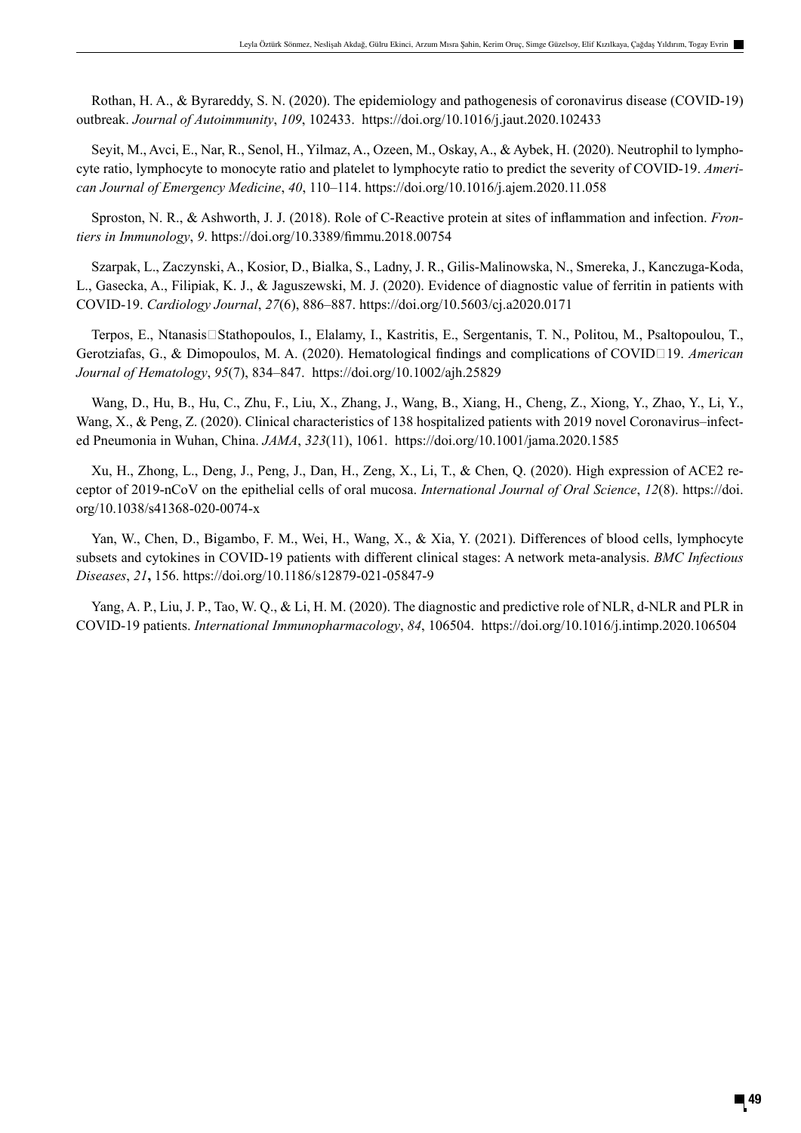Rothan, H. A., & Byrareddy, S. N. (2020). The epidemiology and pathogenesis of coronavirus disease (COVID-19) outbreak. *Journal of Autoimmunity*, *109*, 102433. https://doi.org/10.1016/j.jaut.2020.102433

Seyit, M., Avci, E., Nar, R., Senol, H., Yilmaz, A., Ozeen, M., Oskay, A., & Aybek, H. (2020). Neutrophil to lymphocyte ratio, lymphocyte to monocyte ratio and platelet to lymphocyte ratio to predict the severity of COVID-19. *American Journal of Emergency Medicine*, *40*, 110–114. https://doi.org/10.1016/j.ajem.2020.11.058

Sproston, N. R., & Ashworth, J. J. (2018). Role of C-Reactive protein at sites of inflammation and infection. *Frontiers in Immunology*, *9*. https://doi.org/10.3389/fimmu.2018.00754

Szarpak, L., Zaczynski, A., Kosior, D., Bialka, S., Ladny, J. R., Gilis-Malinowska, N., Smereka, J., Kanczuga-Koda, L., Gasecka, A., Filipiak, K. J., & Jaguszewski, M. J. (2020). Evidence of diagnostic value of ferritin in patients with COVID-19. *Cardiology Journal*, *27*(6), 886–887. https://doi.org/10.5603/cj.a2020.0171

Terpos, E., Ntanasis□Stathopoulos, I., Elalamy, I., Kastritis, E., Sergentanis, T. N., Politou, M., Psaltopoulou, T., Gerotziafas, G., & Dimopoulos, M. A. (2020). Hematological findings and complications of COVID□19. *American Journal of Hematology*, *95*(7), 834–847. https://doi.org/10.1002/ajh.25829

Wang, D., Hu, B., Hu, C., Zhu, F., Liu, X., Zhang, J., Wang, B., Xiang, H., Cheng, Z., Xiong, Y., Zhao, Y., Li, Y., Wang, X., & Peng, Z. (2020). Clinical characteristics of 138 hospitalized patients with 2019 novel Coronavirus–infected Pneumonia in Wuhan, China. *JAMA*, *323*(11), 1061. https://doi.org/10.1001/jama.2020.1585

Xu, H., Zhong, L., Deng, J., Peng, J., Dan, H., Zeng, X., Li, T., & Chen, Q. (2020). High expression of ACE2 receptor of 2019-nCoV on the epithelial cells of oral mucosa. *International Journal of Oral Science*, *12*(8). https://doi. org/10.1038/s41368-020-0074-x

Yan, W., Chen, D., Bigambo, F. M., Wei, H., Wang, X., & Xia, Y. (2021). Differences of blood cells, lymphocyte subsets and cytokines in COVID-19 patients with different clinical stages: A network meta-analysis. *BMC Infectious Diseases*, *21***,** 156. https://doi.org/10.1186/s12879-021-05847-9

Yang, A. P., Liu, J. P., Tao, W. Q., & Li, H. M. (2020). The diagnostic and predictive role of NLR, d-NLR and PLR in COVID-19 patients. *International Immunopharmacology*, *84*, 106504. https://doi.org/10.1016/j.intimp.2020.106504